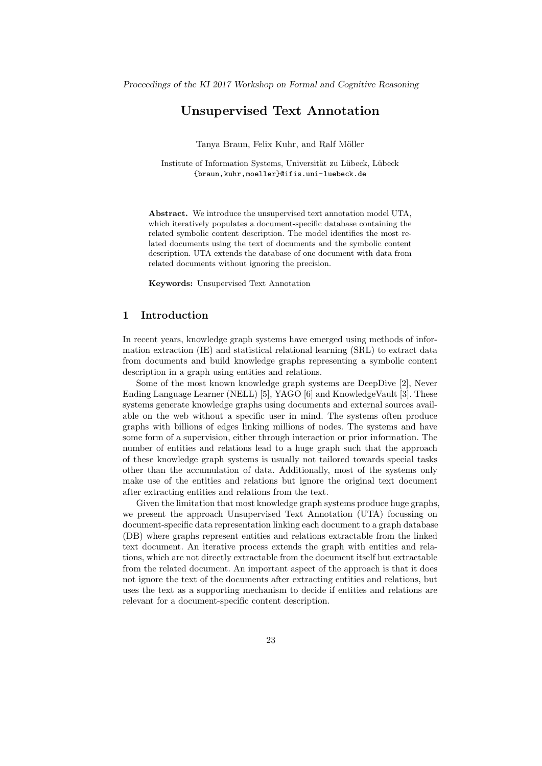# Unsupervised Text Annotation

Tanya Braun, Felix Kuhr, and Ralf Möller

Institute of Information Systems, Universität zu Lübeck, Lübeck {braun,kuhr,moeller}@ifis.uni-luebeck.de

Abstract. We introduce the unsupervised text annotation model UTA, which iteratively populates a document-specific database containing the related symbolic content description. The model identifies the most related documents using the text of documents and the symbolic content description. UTA extends the database of one document with data from related documents without ignoring the precision.

Keywords: Unsupervised Text Annotation

## 1 Introduction

In recent years, knowledge graph systems have emerged using methods of information extraction (IE) and statistical relational learning (SRL) to extract data from documents and build knowledge graphs representing a symbolic content description in a graph using entities and relations.

Some of the most known knowledge graph systems are DeepDive [2], Never Ending Language Learner (NELL) [5], YAGO [6] and KnowledgeVault [3]. These systems generate knowledge graphs using documents and external sources available on the web without a specific user in mind. The systems often produce graphs with billions of edges linking millions of nodes. The systems and have some form of a supervision, either through interaction or prior information. The number of entities and relations lead to a huge graph such that the approach of these knowledge graph systems is usually not tailored towards special tasks other than the accumulation of data. Additionally, most of the systems only make use of the entities and relations but ignore the original text document after extracting entities and relations from the text.

Given the limitation that most knowledge graph systems produce huge graphs, we present the approach Unsupervised Text Annotation (UTA) focussing on document-specific data representation linking each document to a graph database (DB) where graphs represent entities and relations extractable from the linked text document. An iterative process extends the graph with entities and relations, which are not directly extractable from the document itself but extractable from the related document. An important aspect of the approach is that it does not ignore the text of the documents after extracting entities and relations, but uses the text as a supporting mechanism to decide if entities and relations are relevant for a document-specific content description.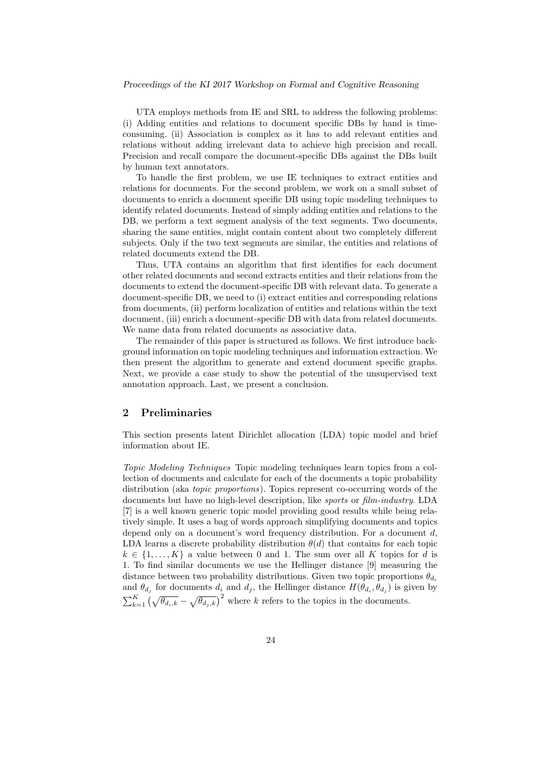UTA employs methods from IE and SRL to address the following problems: (i) Adding entities and relations to document specific DBs by hand is timeconsuming. (ii) Association is complex as it has to add relevant entities and relations without adding irrelevant data to achieve high precision and recall. Precision and recall compare the document-specific DBs against the DBs built by human text annotators.

To handle the first problem, we use IE techniques to extract entities and relations for documents. For the second problem, we work on a small subset of documents to enrich a document specific DB using topic modeling techniques to identify related documents. Instead of simply adding entities and relations to the DB, we perform a text segment analysis of the text segments. Two documents, sharing the same entities, might contain content about two completely different subjects. Only if the two text segments are similar, the entities and relations of related documents extend the DB.

Thus, UTA contains an algorithm that first identifies for each document other related documents and second extracts entities and their relations from the documents to extend the document-specific DB with relevant data. To generate a document-specific DB, we need to (i) extract entities and corresponding relations from documents, (ii) perform localization of entities and relations within the text document, (iii) enrich a document-specific DB with data from related documents. We name data from related documents as associative data.

The remainder of this paper is structured as follows. We first introduce background information on topic modeling techniques and information extraction. We then present the algorithm to generate and extend document specific graphs. Next, we provide a case study to show the potential of the unsupervised text annotation approach. Last, we present a conclusion.

## 2 Preliminaries

This section presents latent Dirichlet allocation (LDA) topic model and brief information about IE.

Topic Modeling Techniques Topic modeling techniques learn topics from a collection of documents and calculate for each of the documents a topic probability distribution (aka topic proportions). Topics represent co-occurring words of the documents but have no high-level description, like sports or film-industry. LDA [7] is a well known generic topic model providing good results while being relatively simple. It uses a bag of words approach simplifying documents and topics depend only on a document's word frequency distribution. For a document  $d$ , LDA learns a discrete probability distribution  $\theta(d)$  that contains for each topic  $k \in \{1, \ldots, K\}$  a value between 0 and 1. The sum over all K topics for d is 1. To find similar documents we use the Hellinger distance [9] measuring the distance between two probability distributions. Given two topic proportions  $\theta_{d_i}$ and  $\theta_{d_j}$  for documents  $d_i$  and  $d_j$ , the Hellinger distance  $H(\theta_{d_i}, \theta_{d_j})$  is given by  $\sum_{k=1}^K \left(\sqrt{\theta_{d_i,k}} - \sqrt{\theta_{d_j,k}}\right)^2$  where k refers to the topics in the documents.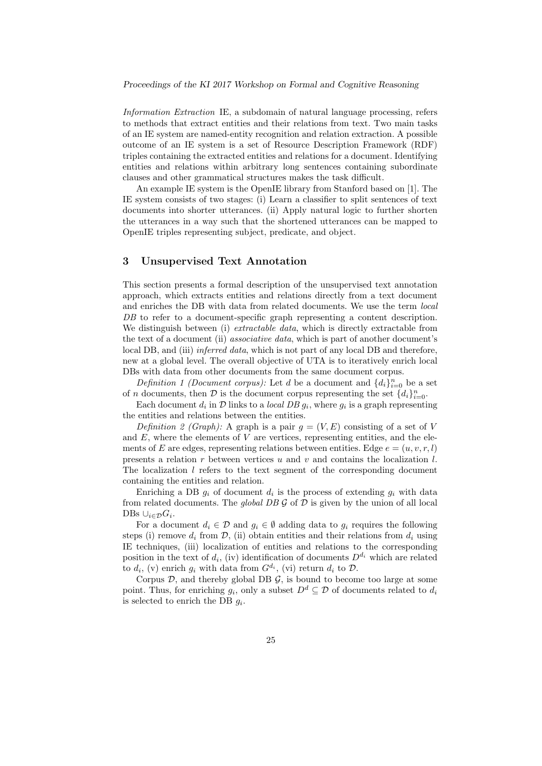Information Extraction IE, a subdomain of natural language processing, refers to methods that extract entities and their relations from text. Two main tasks of an IE system are named-entity recognition and relation extraction. A possible outcome of an IE system is a set of Resource Description Framework (RDF) triples containing the extracted entities and relations for a document. Identifying entities and relations within arbitrary long sentences containing subordinate clauses and other grammatical structures makes the task difficult.

An example IE system is the OpenIE library from Stanford based on [1]. The IE system consists of two stages: (i) Learn a classifier to split sentences of text documents into shorter utterances. (ii) Apply natural logic to further shorten the utterances in a way such that the shortened utterances can be mapped to OpenIE triples representing subject, predicate, and object.

## 3 Unsupervised Text Annotation

This section presents a formal description of the unsupervised text annotation approach, which extracts entities and relations directly from a text document and enriches the DB with data from related documents. We use the term local DB to refer to a document-specific graph representing a content description. We distinguish between (i) *extractable data*, which is directly extractable from the text of a document (ii) associative data, which is part of another document's local DB, and (iii) *inferred data*, which is not part of any local DB and therefore, new at a global level. The overall objective of UTA is to iteratively enrich local DBs with data from other documents from the same document corpus.

Definition 1 (Document corpus): Let d be a document and  $\{d_i\}_{i=0}^n$  be a set of *n* documents, then *D* is the document corpus representing the set  $\{d_i\}_{i=0}^n$ .

Each document  $d_i$  in  $\mathcal D$  links to a *local DB*  $g_i$ , where  $g_i$  is a graph representing the entities and relations between the entities.

Definition 2 (Graph): A graph is a pair  $g = (V, E)$  consisting of a set of V and  $E$ , where the elements of  $V$  are vertices, representing entities, and the elements of E are edges, representing relations between entities. Edge  $e = (u, v, r, l)$ presents a relation r between vertices u and v and contains the localization  $l$ . The localization  $l$  refers to the text segment of the corresponding document containing the entities and relation.

Enriching a DB  $g_i$  of document  $d_i$  is the process of extending  $g_i$  with data from related documents. The *global DB G* of  $D$  is given by the union of all local DBs  $\cup_{i\in\mathcal{D}} G_i$ .

For a document  $d_i \in \mathcal{D}$  and  $g_i \in \emptyset$  adding data to  $g_i$  requires the following steps (i) remove  $d_i$  from  $\mathcal{D}$ , (ii) obtain entities and their relations from  $d_i$  using IE techniques, (iii) localization of entities and relations to the corresponding position in the text of  $d_i$ , (iv) identification of documents  $D^{d_i}$  which are related to  $d_i$ , (v) enrich  $g_i$  with data from  $G^{d_i}$ , (vi) return  $d_i$  to  $\mathcal{D}$ .

Corpus  $D$ , and thereby global DB  $\mathcal{G}$ , is bound to become too large at some point. Thus, for enriching  $g_i$ , only a subset  $D^d \subseteq \mathcal{D}$  of documents related to  $d_i$ is selected to enrich the DB  $g_i$ .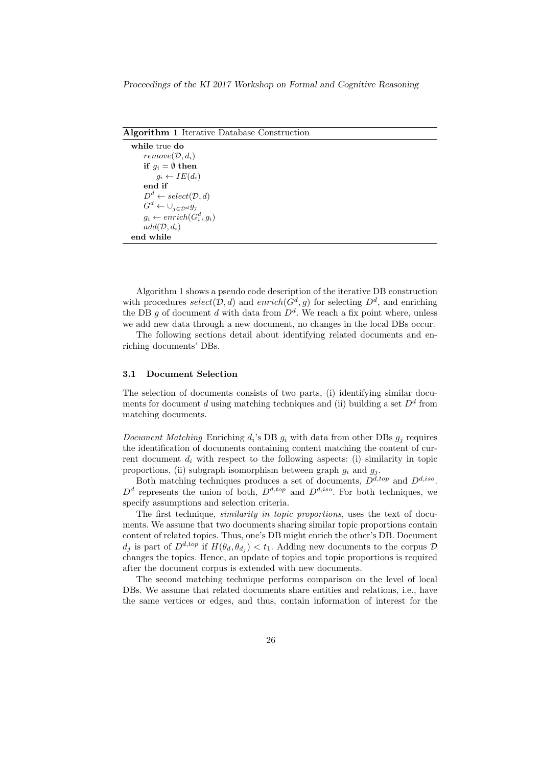| <b>Algorithm 1</b> Iterative Database Construction |
|----------------------------------------------------|
| while true do                                      |
| $remove(D, d_i)$                                   |
| if $g_i = \emptyset$ then                          |
| $g_i \leftarrow IE(d_i)$                           |
| end if                                             |
| $D^d \leftarrow select(\mathcal{D}, d)$            |
| $G^d \leftarrow \bigcup_{j \in \mathcal{D}^d} g_j$ |
| $g_i \leftarrow enrich(G_i^d, g_i)$                |
| $add(\mathcal{D}, d_i)$                            |
| end while                                          |

Algorithm 1 shows a pseudo code description of the iterative DB construction with procedures select( $\mathcal{D}, d$ ) and enrich( $G^d, g$ ) for selecting  $D^d$ , and enriching the DB g of document d with data from  $D^d$ . We reach a fix point where, unless we add new data through a new document, no changes in the local DBs occur.

The following sections detail about identifying related documents and enriching documents' DBs.

#### 3.1 Document Selection

The selection of documents consists of two parts, (i) identifying similar documents for document d using matching techniques and (ii) building a set  $D<sup>d</sup>$  from matching documents.

Document Matching Enriching  $d_i$ 's DB  $g_i$  with data from other DBs  $g_i$  requires the identification of documents containing content matching the content of current document  $d_i$  with respect to the following aspects: (i) similarity in topic proportions, (ii) subgraph isomorphism between graph  $g_i$  and  $g_j$ .

Both matching techniques produces a set of documents,  $D^{\tilde{d}, top}$  and  $D^{d, iso}$ .  $D^d$  represents the union of both,  $D^{d, top}$  and  $D^{d, iso}$ . For both techniques, we specify assumptions and selection criteria.

The first technique, *similarity in topic proportions*, uses the text of documents. We assume that two documents sharing similar topic proportions contain content of related topics. Thus, one's DB might enrich the other's DB. Document  $d_j$  is part of  $D^{d, top}$  if  $H(\theta_d, \theta_{d_j}) < t_1$ . Adding new documents to the corpus  $\mathcal D$ changes the topics. Hence, an update of topics and topic proportions is required after the document corpus is extended with new documents.

The second matching technique performs comparison on the level of local DBs. We assume that related documents share entities and relations, i.e., have the same vertices or edges, and thus, contain information of interest for the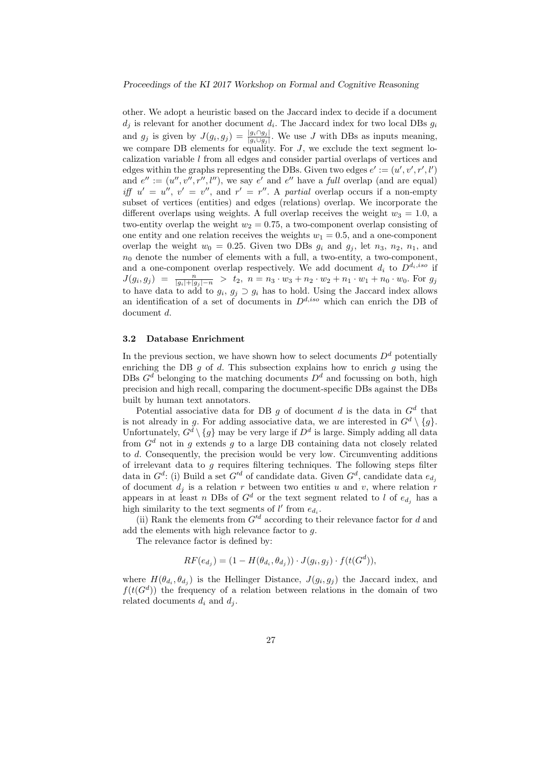other. We adopt a heuristic based on the Jaccard index to decide if a document  $d_i$  is relevant for another document  $d_i$ . The Jaccard index for two local DBs  $g_i$ and  $g_j$  is given by  $J(g_i, g_j) = \frac{|g_i \cap g_j|}{|g_i \cup g_j|}$ . We use J with DBs as inputs meaning, we compare DB elements for equality. For  $J$ , we exclude the text segment localization variable l from all edges and consider partial overlaps of vertices and edges within the graphs representing the DBs. Given two edges  $e' := (u', v', r', l')$ and  $e^{\prime\prime} := (u^{\prime\prime}, v^{\prime\prime}, r^{\prime\prime}, l^{\prime\prime}),$  we say  $e^{\prime}$  and  $e^{\prime\prime}$  have a full overlap (and are equal) iff  $u' = u''$ ,  $v' = v''$ , and  $r' = r''$ . A partial overlap occurs if a non-empty subset of vertices (entities) and edges (relations) overlap. We incorporate the different overlaps using weights. A full overlap receives the weight  $w_3 = 1.0$ , a two-entity overlap the weight  $w_2 = 0.75$ , a two-component overlap consisting of one entity and one relation receives the weights  $w_1 = 0.5$ , and a one-component overlap the weight  $w_0 = 0.25$ . Given two DBs  $g_i$  and  $g_j$ , let  $n_3$ ,  $n_2$ ,  $n_1$ , and  $n_0$  denote the number of elements with a full, a two-entity, a two-component, and a one-component overlap respectively. We add document  $d_i$  to  $D^{d_i,iso}$  if  $J(g_i, g_j) = \frac{n}{|g_i|+|g_j|-n} > t_2, n = n_3 \cdot w_3+n_2 \cdot w_2+n_1 \cdot w_1+n_0 \cdot w_0.$  For  $g_j$ to have data to add to  $g_i, g_j \supset g_i$  has to hold. Using the Jaccard index allows an identification of a set of documents in  $D^{d,iso}$  which can enrich the DB of document d.

#### 3.2 Database Enrichment

In the previous section, we have shown how to select documents  $D<sup>d</sup>$  potentially enriching the DB q of d. This subsection explains how to enrich q using the DBs  $G<sup>d</sup>$  belonging to the matching documents  $D<sup>d</sup>$  and focussing on both, high precision and high recall, comparing the document-specific DBs against the DBs built by human text annotators.

Potential associative data for DB  $g$  of document  $d$  is the data in  $G^d$  that is not already in g. For adding associative data, we are interested in  $G^d \setminus \{g\}.$ Unfortunately,  $G^d \setminus \{g\}$  may be very large if  $D^d$  is large. Simply adding all data from  $G<sup>d</sup>$  not in q extends q to a large DB containing data not closely related to  $d$ . Consequently, the precision would be very low. Circumventing additions of irrelevant data to  $g$  requires filtering techniques. The following steps filter data in  $G^d$ : (i) Build a set  $G'^d$  of candidate data. Given  $G^d$ , candidate data  $e_{d_i}$ of document  $d_i$  is a relation r between two entities u and v, where relation r appears in at least n DBs of  $G^d$  or the text segment related to l of  $e_{d_i}$  has a high similarity to the text segments of  $l'$  from  $e_{d_i}$ .

(ii) Rank the elements from  $G'^d$  according to their relevance factor for d and add the elements with high relevance factor to g.

The relevance factor is defined by:

$$
RF(e_{d_j}) = (1 - H(\theta_{d_i}, \theta_{d_j})) \cdot J(g_i, g_j) \cdot f(t(G^d)),
$$

where  $H(\theta_{d_i}, \theta_{d_j})$  is the Hellinger Distance,  $J(g_i, g_j)$  the Jaccard index, and  $f(t(G<sup>d</sup>))$  the frequency of a relation between relations in the domain of two related documents  $d_i$  and  $d_j$ .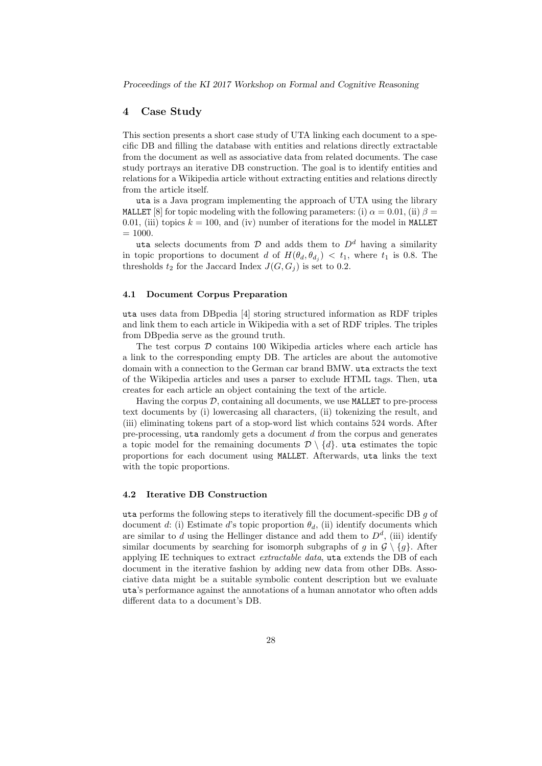### 4 Case Study

This section presents a short case study of UTA linking each document to a specific DB and filling the database with entities and relations directly extractable from the document as well as associative data from related documents. The case study portrays an iterative DB construction. The goal is to identify entities and relations for a Wikipedia article without extracting entities and relations directly from the article itself.

uta is a Java program implementing the approach of UTA using the library MALLET [8] for topic modeling with the following parameters: (i)  $\alpha = 0.01$ , (ii)  $\beta =$ 0.01, (iii) topics  $k = 100$ , and (iv) number of iterations for the model in MALLET  $= 1000.$ 

uta selects documents from  $D$  and adds them to  $D<sup>d</sup>$  having a similarity in topic proportions to document d of  $H(\theta_d, \theta_d) < t_1$ , where  $t_1$  is 0.8. The thresholds  $t_2$  for the Jaccard Index  $J(G, G_j)$  is set to 0.2.

#### 4.1 Document Corpus Preparation

uta uses data from DBpedia [4] storing structured information as RDF triples and link them to each article in Wikipedia with a set of RDF triples. The triples from DBpedia serve as the ground truth.

The test corpus  $D$  contains 100 Wikipedia articles where each article has a link to the corresponding empty DB. The articles are about the automotive domain with a connection to the German car brand BMW. uta extracts the text of the Wikipedia articles and uses a parser to exclude HTML tags. Then, uta creates for each article an object containing the text of the article.

Having the corpus  $D$ , containing all documents, we use MALLET to pre-process text documents by (i) lowercasing all characters, (ii) tokenizing the result, and (iii) eliminating tokens part of a stop-word list which contains 524 words. After pre-processing,  $u$ ta randomly gets a document  $d$  from the corpus and generates a topic model for the remaining documents  $\mathcal{D} \setminus \{d\}$ . uta estimates the topic proportions for each document using MALLET. Afterwards, uta links the text with the topic proportions.

### 4.2 Iterative DB Construction

uta performs the following steps to iteratively fill the document-specific DB  $q$  of document d: (i) Estimate d's topic proportion  $\theta_d$ , (ii) identify documents which are similar to d using the Hellinger distance and add them to  $D<sup>d</sup>$ , (iii) identify similar documents by searching for isomorph subgraphs of g in  $\mathcal{G} \setminus \{g\}$ . After applying IE techniques to extract *extractable data*, uta extends the DB of each document in the iterative fashion by adding new data from other DBs. Associative data might be a suitable symbolic content description but we evaluate uta's performance against the annotations of a human annotator who often adds different data to a document's DB.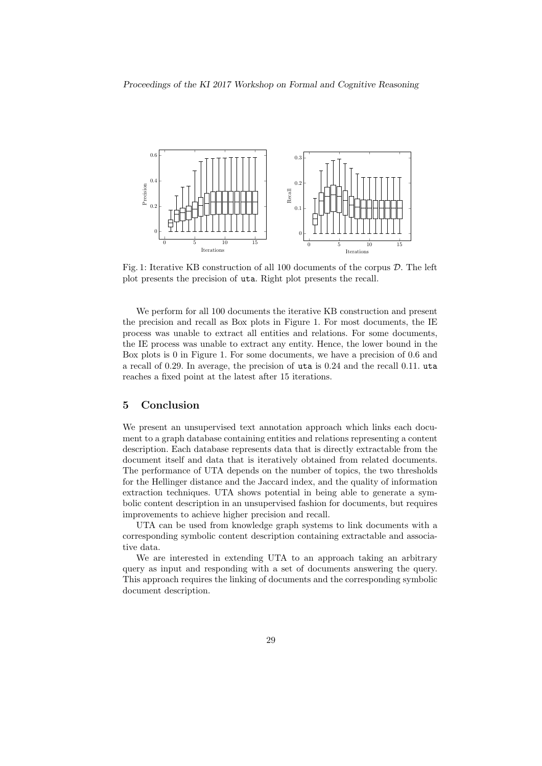

Fig. 1: Iterative KB construction of all 100 documents of the corpus D. The left plot presents the precision of uta. Right plot presents the recall.

We perform for all 100 documents the iterative KB construction and present the precision and recall as Box plots in Figure 1. For most documents, the IE process was unable to extract all entities and relations. For some documents, the IE process was unable to extract any entity. Hence, the lower bound in the Box plots is 0 in Figure 1. For some documents, we have a precision of 0.6 and a recall of 0.29. In average, the precision of uta is 0.24 and the recall 0.11. uta reaches a fixed point at the latest after 15 iterations.

## 5 Conclusion

We present an unsupervised text annotation approach which links each document to a graph database containing entities and relations representing a content description. Each database represents data that is directly extractable from the document itself and data that is iteratively obtained from related documents. The performance of UTA depends on the number of topics, the two thresholds for the Hellinger distance and the Jaccard index, and the quality of information extraction techniques. UTA shows potential in being able to generate a symbolic content description in an unsupervised fashion for documents, but requires improvements to achieve higher precision and recall.

UTA can be used from knowledge graph systems to link documents with a corresponding symbolic content description containing extractable and associative data.

We are interested in extending UTA to an approach taking an arbitrary query as input and responding with a set of documents answering the query. This approach requires the linking of documents and the corresponding symbolic document description.